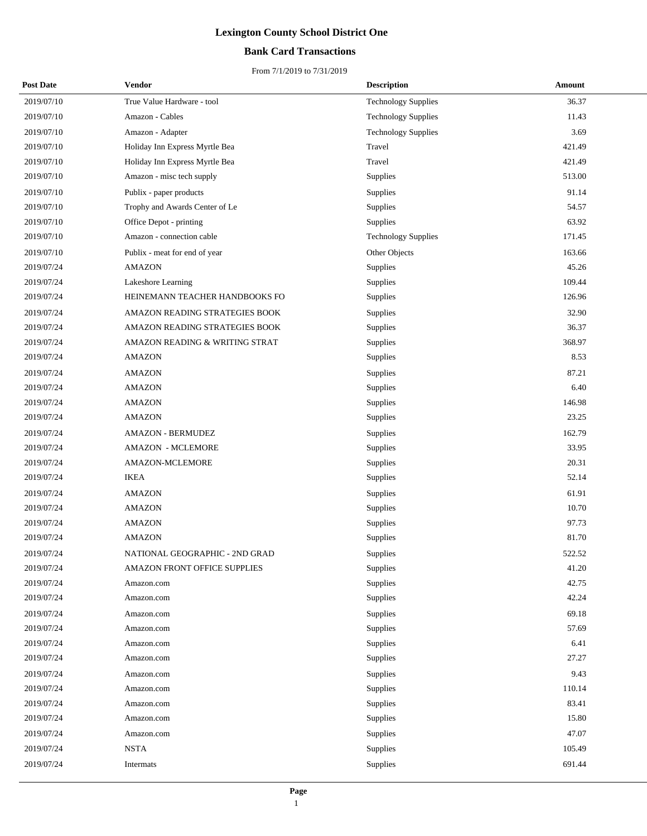## **Bank Card Transactions**

| <b>Post Date</b> | Vendor                         | <b>Description</b>         | Amount |
|------------------|--------------------------------|----------------------------|--------|
| 2019/07/10       | True Value Hardware - tool     | <b>Technology Supplies</b> | 36.37  |
| 2019/07/10       | Amazon - Cables                | <b>Technology Supplies</b> | 11.43  |
| 2019/07/10       | Amazon - Adapter               | <b>Technology Supplies</b> | 3.69   |
| 2019/07/10       | Holiday Inn Express Myrtle Bea | Travel                     | 421.49 |
| 2019/07/10       | Holiday Inn Express Myrtle Bea | Travel                     | 421.49 |
| 2019/07/10       | Amazon - misc tech supply      | Supplies                   | 513.00 |
| 2019/07/10       | Publix - paper products        | Supplies                   | 91.14  |
| 2019/07/10       | Trophy and Awards Center of Le | Supplies                   | 54.57  |
| 2019/07/10       | Office Depot - printing        | Supplies                   | 63.92  |
| 2019/07/10       | Amazon - connection cable      | <b>Technology Supplies</b> | 171.45 |
| 2019/07/10       | Publix - meat for end of year  | Other Objects              | 163.66 |
| 2019/07/24       | <b>AMAZON</b>                  | Supplies                   | 45.26  |
| 2019/07/24       | Lakeshore Learning             | Supplies                   | 109.44 |
| 2019/07/24       | HEINEMANN TEACHER HANDBOOKS FO | Supplies                   | 126.96 |
| 2019/07/24       | AMAZON READING STRATEGIES BOOK | Supplies                   | 32.90  |
| 2019/07/24       | AMAZON READING STRATEGIES BOOK | Supplies                   | 36.37  |
| 2019/07/24       | AMAZON READING & WRITING STRAT | Supplies                   | 368.97 |
| 2019/07/24       | <b>AMAZON</b>                  | Supplies                   | 8.53   |
| 2019/07/24       | <b>AMAZON</b>                  | Supplies                   | 87.21  |
| 2019/07/24       | <b>AMAZON</b>                  | <b>Supplies</b>            | 6.40   |
| 2019/07/24       | <b>AMAZON</b>                  | Supplies                   | 146.98 |
| 2019/07/24       | <b>AMAZON</b>                  | Supplies                   | 23.25  |
| 2019/07/24       | <b>AMAZON - BERMUDEZ</b>       | Supplies                   | 162.79 |
| 2019/07/24       | <b>AMAZON - MCLEMORE</b>       | Supplies                   | 33.95  |
| 2019/07/24       | <b>AMAZON-MCLEMORE</b>         | Supplies                   | 20.31  |
| 2019/07/24       | <b>IKEA</b>                    | Supplies                   | 52.14  |
| 2019/07/24       | <b>AMAZON</b>                  | Supplies                   | 61.91  |
| 2019/07/24       | <b>AMAZON</b>                  | Supplies                   | 10.70  |
| 2019/07/24       | <b>AMAZON</b>                  | Supplies                   | 97.73  |
| 2019/07/24       | <b>AMAZON</b>                  | Supplies                   | 81.70  |
| 2019/07/24       | NATIONAL GEOGRAPHIC - 2ND GRAD | Supplies                   | 522.52 |
| 2019/07/24       | AMAZON FRONT OFFICE SUPPLIES   | Supplies                   | 41.20  |
| 2019/07/24       | Amazon.com                     | Supplies                   | 42.75  |
| 2019/07/24       | Amazon.com                     | Supplies                   | 42.24  |
| 2019/07/24       | Amazon.com                     | Supplies                   | 69.18  |
| 2019/07/24       | Amazon.com                     | Supplies                   | 57.69  |
| 2019/07/24       | Amazon.com                     | Supplies                   | 6.41   |
| 2019/07/24       | Amazon.com                     | Supplies                   | 27.27  |
| 2019/07/24       | Amazon.com                     | Supplies                   | 9.43   |
| 2019/07/24       | Amazon.com                     | Supplies                   | 110.14 |
| 2019/07/24       | Amazon.com                     | Supplies                   | 83.41  |
| 2019/07/24       | Amazon.com                     | Supplies                   | 15.80  |
| 2019/07/24       | Amazon.com                     | Supplies                   | 47.07  |
| 2019/07/24       | <b>NSTA</b>                    | Supplies                   | 105.49 |
| 2019/07/24       | Intermats                      | Supplies                   | 691.44 |
|                  |                                |                            |        |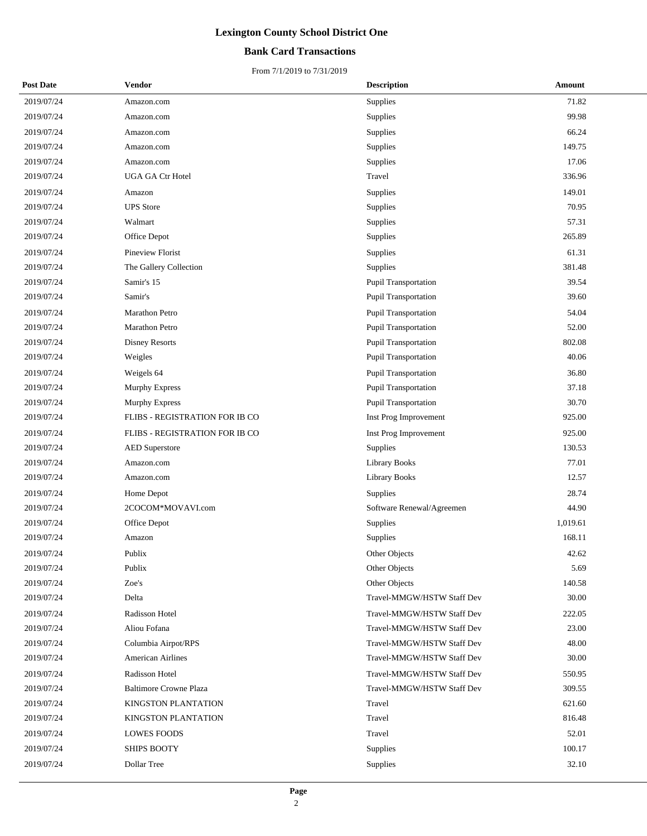## **Bank Card Transactions**

| <b>Post Date</b> | Vendor                         | <b>Description</b>          | Amount   |
|------------------|--------------------------------|-----------------------------|----------|
| 2019/07/24       | Amazon.com                     | Supplies                    | 71.82    |
| 2019/07/24       | Amazon.com                     | Supplies                    | 99.98    |
| 2019/07/24       | Amazon.com                     | Supplies                    | 66.24    |
| 2019/07/24       | Amazon.com                     | Supplies                    | 149.75   |
| 2019/07/24       | Amazon.com                     | Supplies                    | 17.06    |
| 2019/07/24       | UGA GA Ctr Hotel               | Travel                      | 336.96   |
| 2019/07/24       | Amazon                         | Supplies                    | 149.01   |
| 2019/07/24       | <b>UPS</b> Store               | Supplies                    | 70.95    |
| 2019/07/24       | Walmart                        | Supplies                    | 57.31    |
| 2019/07/24       | Office Depot                   | Supplies                    | 265.89   |
| 2019/07/24       | Pineview Florist               | Supplies                    | 61.31    |
| 2019/07/24       | The Gallery Collection         | Supplies                    | 381.48   |
| 2019/07/24       | Samir's 15                     | Pupil Transportation        | 39.54    |
| 2019/07/24       | Samir's                        | Pupil Transportation        | 39.60    |
| 2019/07/24       | Marathon Petro                 | <b>Pupil Transportation</b> | 54.04    |
| 2019/07/24       | <b>Marathon Petro</b>          | <b>Pupil Transportation</b> | 52.00    |
| 2019/07/24       | <b>Disney Resorts</b>          | Pupil Transportation        | 802.08   |
| 2019/07/24       | Weigles                        | Pupil Transportation        | 40.06    |
| 2019/07/24       | Weigels 64                     | Pupil Transportation        | 36.80    |
| 2019/07/24       | <b>Murphy Express</b>          | Pupil Transportation        | 37.18    |
| 2019/07/24       | Murphy Express                 | Pupil Transportation        | 30.70    |
| 2019/07/24       | FLIBS - REGISTRATION FOR IB CO | Inst Prog Improvement       | 925.00   |
| 2019/07/24       | FLIBS - REGISTRATION FOR IB CO | Inst Prog Improvement       | 925.00   |
| 2019/07/24       | <b>AED</b> Superstore          | Supplies                    | 130.53   |
| 2019/07/24       | Amazon.com                     | <b>Library Books</b>        | 77.01    |
| 2019/07/24       | Amazon.com                     | <b>Library Books</b>        | 12.57    |
| 2019/07/24       | Home Depot                     | Supplies                    | 28.74    |
| 2019/07/24       | 2COCOM*MOVAVI.com              | Software Renewal/Agreemen   | 44.90    |
| 2019/07/24       | Office Depot                   | Supplies                    | 1,019.61 |
| 2019/07/24       | Amazon                         | Supplies                    | 168.11   |
| 2019/07/24       | Publix                         | Other Objects               | 42.62    |
| 2019/07/24       | Publix                         | Other Objects               | 5.69     |
| 2019/07/24       | Zoe's                          | Other Objects               | 140.58   |
| 2019/07/24       | Delta                          | Travel-MMGW/HSTW Staff Dev  | 30.00    |
| 2019/07/24       | Radisson Hotel                 | Travel-MMGW/HSTW Staff Dev  | 222.05   |
| 2019/07/24       | Aliou Fofana                   | Travel-MMGW/HSTW Staff Dev  | 23.00    |
| 2019/07/24       | Columbia Airpot/RPS            | Travel-MMGW/HSTW Staff Dev  | 48.00    |
| 2019/07/24       | <b>American Airlines</b>       | Travel-MMGW/HSTW Staff Dev  | 30.00    |
| 2019/07/24       | Radisson Hotel                 | Travel-MMGW/HSTW Staff Dev  | 550.95   |
| 2019/07/24       | <b>Baltimore Crowne Plaza</b>  | Travel-MMGW/HSTW Staff Dev  | 309.55   |
| 2019/07/24       | KINGSTON PLANTATION            | Travel                      | 621.60   |
| 2019/07/24       | KINGSTON PLANTATION            | Travel                      | 816.48   |
| 2019/07/24       | <b>LOWES FOODS</b>             | Travel                      | 52.01    |
| 2019/07/24       | <b>SHIPS BOOTY</b>             | Supplies                    | 100.17   |
| 2019/07/24       | Dollar Tree                    | Supplies                    | 32.10    |
|                  |                                |                             |          |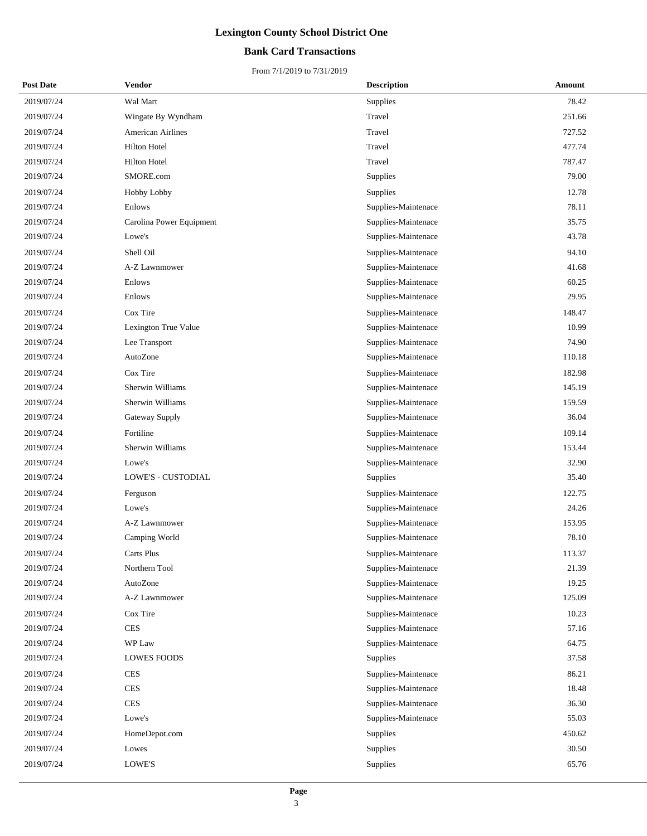## **Bank Card Transactions**

| <b>Post Date</b> | Vendor                   | <b>Description</b>  | Amount |
|------------------|--------------------------|---------------------|--------|
| 2019/07/24       | Wal Mart                 | <b>Supplies</b>     | 78.42  |
| 2019/07/24       | Wingate By Wyndham       | Travel              | 251.66 |
| 2019/07/24       | <b>American Airlines</b> | Travel              | 727.52 |
| 2019/07/24       | <b>Hilton Hotel</b>      | Travel              | 477.74 |
| 2019/07/24       | <b>Hilton Hotel</b>      | Travel              | 787.47 |
| 2019/07/24       | SMORE.com                | Supplies            | 79.00  |
| 2019/07/24       | Hobby Lobby              | Supplies            | 12.78  |
| 2019/07/24       | Enlows                   | Supplies-Maintenace | 78.11  |
| 2019/07/24       | Carolina Power Equipment | Supplies-Maintenace | 35.75  |
| 2019/07/24       | Lowe's                   | Supplies-Maintenace | 43.78  |
| 2019/07/24       | Shell Oil                | Supplies-Maintenace | 94.10  |
| 2019/07/24       | A-Z Lawnmower            | Supplies-Maintenace | 41.68  |
| 2019/07/24       | Enlows                   | Supplies-Maintenace | 60.25  |
| 2019/07/24       | Enlows                   | Supplies-Maintenace | 29.95  |
| 2019/07/24       | Cox Tire                 | Supplies-Maintenace | 148.47 |
| 2019/07/24       | Lexington True Value     | Supplies-Maintenace | 10.99  |
| 2019/07/24       | Lee Transport            | Supplies-Maintenace | 74.90  |
| 2019/07/24       | AutoZone                 | Supplies-Maintenace | 110.18 |
| 2019/07/24       | Cox Tire                 | Supplies-Maintenace | 182.98 |
| 2019/07/24       | Sherwin Williams         | Supplies-Maintenace | 145.19 |
| 2019/07/24       | Sherwin Williams         | Supplies-Maintenace | 159.59 |
| 2019/07/24       | <b>Gateway Supply</b>    | Supplies-Maintenace | 36.04  |
| 2019/07/24       | Fortiline                | Supplies-Maintenace | 109.14 |
| 2019/07/24       | Sherwin Williams         | Supplies-Maintenace | 153.44 |
| 2019/07/24       | Lowe's                   | Supplies-Maintenace | 32.90  |
| 2019/07/24       | LOWE'S - CUSTODIAL       | Supplies            | 35.40  |
| 2019/07/24       | Ferguson                 | Supplies-Maintenace | 122.75 |
| 2019/07/24       | Lowe's                   | Supplies-Maintenace | 24.26  |
| 2019/07/24       | A-Z Lawnmower            | Supplies-Maintenace | 153.95 |
| 2019/07/24       | Camping World            | Supplies-Maintenace | 78.10  |
| 2019/07/24       | Carts Plus               | Supplies-Maintenace | 113.37 |
| 2019/07/24       | Northern Tool            | Supplies-Maintenace | 21.39  |
| 2019/07/24       | AutoZone                 | Supplies-Maintenace | 19.25  |
| 2019/07/24       | A-Z Lawnmower            | Supplies-Maintenace | 125.09 |
| 2019/07/24       | Cox Tire                 | Supplies-Maintenace | 10.23  |
| 2019/07/24       | <b>CES</b>               | Supplies-Maintenace | 57.16  |
| 2019/07/24       | WP Law                   | Supplies-Maintenace | 64.75  |
| 2019/07/24       | LOWES FOODS              | Supplies            | 37.58  |
| 2019/07/24       | <b>CES</b>               | Supplies-Maintenace | 86.21  |
| 2019/07/24       | <b>CES</b>               | Supplies-Maintenace | 18.48  |
| 2019/07/24       | <b>CES</b>               | Supplies-Maintenace | 36.30  |
| 2019/07/24       | Lowe's                   | Supplies-Maintenace | 55.03  |
| 2019/07/24       | HomeDepot.com            | Supplies            | 450.62 |
| 2019/07/24       | Lowes                    | Supplies            | 30.50  |
| 2019/07/24       | LOWE'S                   | Supplies            | 65.76  |
|                  |                          |                     |        |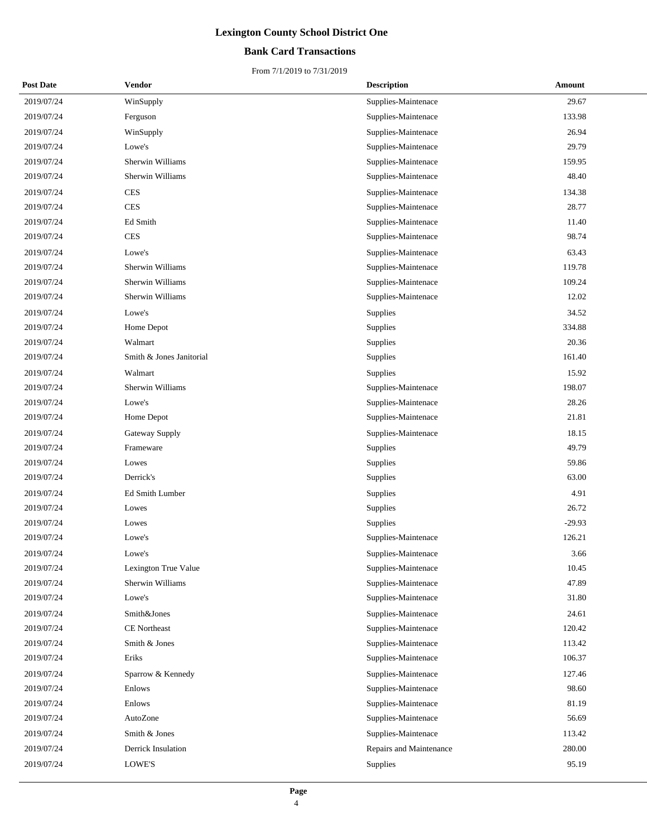## **Bank Card Transactions**

| <b>Post Date</b> | <b>Vendor</b>            | <b>Description</b>      | Amount   |
|------------------|--------------------------|-------------------------|----------|
| 2019/07/24       | WinSupply                | Supplies-Maintenace     | 29.67    |
| 2019/07/24       | Ferguson                 | Supplies-Maintenace     | 133.98   |
| 2019/07/24       | WinSupply                | Supplies-Maintenace     | 26.94    |
| 2019/07/24       | Lowe's                   | Supplies-Maintenace     | 29.79    |
| 2019/07/24       | Sherwin Williams         | Supplies-Maintenace     | 159.95   |
| 2019/07/24       | Sherwin Williams         | Supplies-Maintenace     | 48.40    |
| 2019/07/24       | <b>CES</b>               | Supplies-Maintenace     | 134.38   |
| 2019/07/24       | <b>CES</b>               | Supplies-Maintenace     | 28.77    |
| 2019/07/24       | Ed Smith                 | Supplies-Maintenace     | 11.40    |
| 2019/07/24       | <b>CES</b>               | Supplies-Maintenace     | 98.74    |
| 2019/07/24       | Lowe's                   | Supplies-Maintenace     | 63.43    |
| 2019/07/24       | Sherwin Williams         | Supplies-Maintenace     | 119.78   |
| 2019/07/24       | Sherwin Williams         | Supplies-Maintenace     | 109.24   |
| 2019/07/24       | Sherwin Williams         | Supplies-Maintenace     | 12.02    |
| 2019/07/24       | Lowe's                   | Supplies                | 34.52    |
| 2019/07/24       | Home Depot               | <b>Supplies</b>         | 334.88   |
| 2019/07/24       | Walmart                  | Supplies                | 20.36    |
| 2019/07/24       | Smith & Jones Janitorial | Supplies                | 161.40   |
| 2019/07/24       | Walmart                  | Supplies                | 15.92    |
| 2019/07/24       | Sherwin Williams         | Supplies-Maintenace     | 198.07   |
| 2019/07/24       | Lowe's                   | Supplies-Maintenace     | 28.26    |
| 2019/07/24       | Home Depot               | Supplies-Maintenace     | 21.81    |
| 2019/07/24       | Gateway Supply           | Supplies-Maintenace     | 18.15    |
| 2019/07/24       | Frameware                | <b>Supplies</b>         | 49.79    |
| 2019/07/24       | Lowes                    | Supplies                | 59.86    |
| 2019/07/24       | Derrick's                | Supplies                | 63.00    |
| 2019/07/24       | Ed Smith Lumber          | Supplies                | 4.91     |
| 2019/07/24       | Lowes                    | Supplies                | 26.72    |
| 2019/07/24       | Lowes                    | Supplies                | $-29.93$ |
| 2019/07/24       | Lowe's                   | Supplies-Maintenace     | 126.21   |
| 2019/07/24       | Lowe's                   | Supplies-Maintenace     | 3.66     |
| 2019/07/24       | Lexington True Value     | Supplies-Maintenace     | 10.45    |
| 2019/07/24       | Sherwin Williams         | Supplies-Maintenace     | 47.89    |
| 2019/07/24       | Lowe's                   | Supplies-Maintenace     | 31.80    |
| 2019/07/24       | Smith&Jones              | Supplies-Maintenace     | 24.61    |
| 2019/07/24       | <b>CE</b> Northeast      | Supplies-Maintenace     | 120.42   |
| 2019/07/24       | Smith & Jones            | Supplies-Maintenace     | 113.42   |
| 2019/07/24       | Eriks                    | Supplies-Maintenace     | 106.37   |
| 2019/07/24       | Sparrow & Kennedy        | Supplies-Maintenace     | 127.46   |
| 2019/07/24       | Enlows                   | Supplies-Maintenace     | 98.60    |
| 2019/07/24       | Enlows                   | Supplies-Maintenace     | 81.19    |
| 2019/07/24       | AutoZone                 | Supplies-Maintenace     | 56.69    |
| 2019/07/24       | Smith & Jones            | Supplies-Maintenace     | 113.42   |
| 2019/07/24       | Derrick Insulation       | Repairs and Maintenance | 280.00   |
| 2019/07/24       | LOWE'S                   | <b>Supplies</b>         | 95.19    |
|                  |                          |                         |          |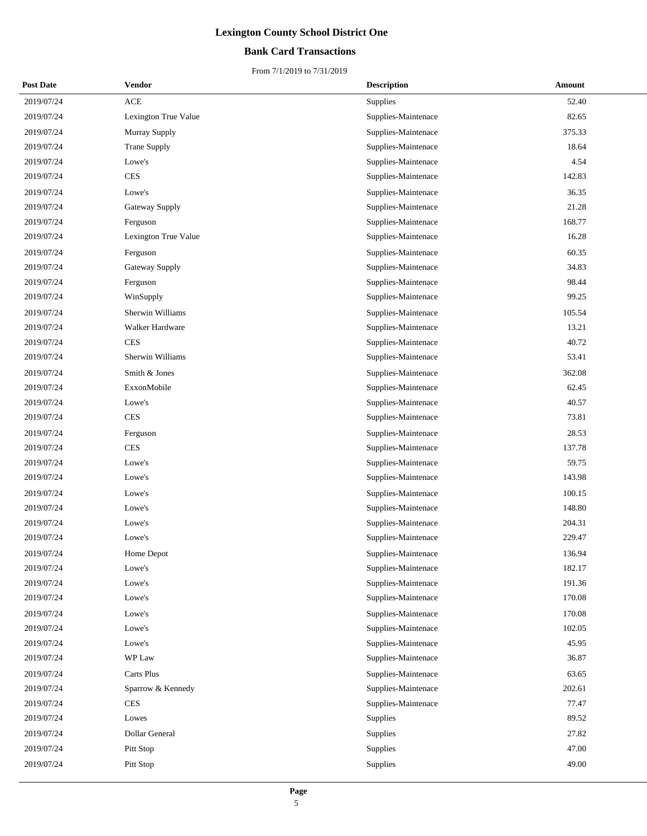## **Bank Card Transactions**

| <b>Post Date</b> | Vendor               | <b>Description</b>  | Amount |
|------------------|----------------------|---------------------|--------|
| 2019/07/24       | $\rm{ACE}$           | <b>Supplies</b>     | 52.40  |
| 2019/07/24       | Lexington True Value | Supplies-Maintenace | 82.65  |
| 2019/07/24       | Murray Supply        | Supplies-Maintenace | 375.33 |
| 2019/07/24       | Trane Supply         | Supplies-Maintenace | 18.64  |
| 2019/07/24       | Lowe's               | Supplies-Maintenace | 4.54   |
| 2019/07/24       | <b>CES</b>           | Supplies-Maintenace | 142.83 |
| 2019/07/24       | Lowe's               | Supplies-Maintenace | 36.35  |
| 2019/07/24       | Gateway Supply       | Supplies-Maintenace | 21.28  |
| 2019/07/24       | Ferguson             | Supplies-Maintenace | 168.77 |
| 2019/07/24       | Lexington True Value | Supplies-Maintenace | 16.28  |
| 2019/07/24       | Ferguson             | Supplies-Maintenace | 60.35  |
| 2019/07/24       | Gateway Supply       | Supplies-Maintenace | 34.83  |
| 2019/07/24       | Ferguson             | Supplies-Maintenace | 98.44  |
| 2019/07/24       | WinSupply            | Supplies-Maintenace | 99.25  |
| 2019/07/24       | Sherwin Williams     | Supplies-Maintenace | 105.54 |
| 2019/07/24       | Walker Hardware      | Supplies-Maintenace | 13.21  |
| 2019/07/24       | <b>CES</b>           | Supplies-Maintenace | 40.72  |
| 2019/07/24       | Sherwin Williams     | Supplies-Maintenace | 53.41  |
| 2019/07/24       | Smith & Jones        | Supplies-Maintenace | 362.08 |
| 2019/07/24       | ExxonMobile          | Supplies-Maintenace | 62.45  |
| 2019/07/24       | Lowe's               | Supplies-Maintenace | 40.57  |
| 2019/07/24       | <b>CES</b>           | Supplies-Maintenace | 73.81  |
| 2019/07/24       | Ferguson             | Supplies-Maintenace | 28.53  |
| 2019/07/24       | <b>CES</b>           | Supplies-Maintenace | 137.78 |
| 2019/07/24       | Lowe's               | Supplies-Maintenace | 59.75  |
| 2019/07/24       | Lowe's               | Supplies-Maintenace | 143.98 |
| 2019/07/24       | Lowe's               | Supplies-Maintenace | 100.15 |
| 2019/07/24       | Lowe's               | Supplies-Maintenace | 148.80 |
| 2019/07/24       | Lowe's               | Supplies-Maintenace | 204.31 |
| 2019/07/24       | Lowe's               | Supplies-Maintenace | 229.47 |
| 2019/07/24       | Home Depot           | Supplies-Maintenace | 136.94 |
| 2019/07/24       | Lowe's               | Supplies-Maintenace | 182.17 |
| 2019/07/24       | Lowe's               | Supplies-Maintenace | 191.36 |
| 2019/07/24       | Lowe's               | Supplies-Maintenace | 170.08 |
| 2019/07/24       | Lowe's               | Supplies-Maintenace | 170.08 |
| 2019/07/24       | Lowe's               | Supplies-Maintenace | 102.05 |
| 2019/07/24       | Lowe's               | Supplies-Maintenace | 45.95  |
| 2019/07/24       | WP Law               | Supplies-Maintenace | 36.87  |
| 2019/07/24       | Carts Plus           | Supplies-Maintenace | 63.65  |
| 2019/07/24       | Sparrow & Kennedy    | Supplies-Maintenace | 202.61 |
| 2019/07/24       | <b>CES</b>           | Supplies-Maintenace | 77.47  |
| 2019/07/24       | Lowes                | Supplies            | 89.52  |
| 2019/07/24       | Dollar General       | Supplies            | 27.82  |
| 2019/07/24       | Pitt Stop            | Supplies            | 47.00  |
| 2019/07/24       | Pitt Stop            | Supplies            | 49.00  |
|                  |                      |                     |        |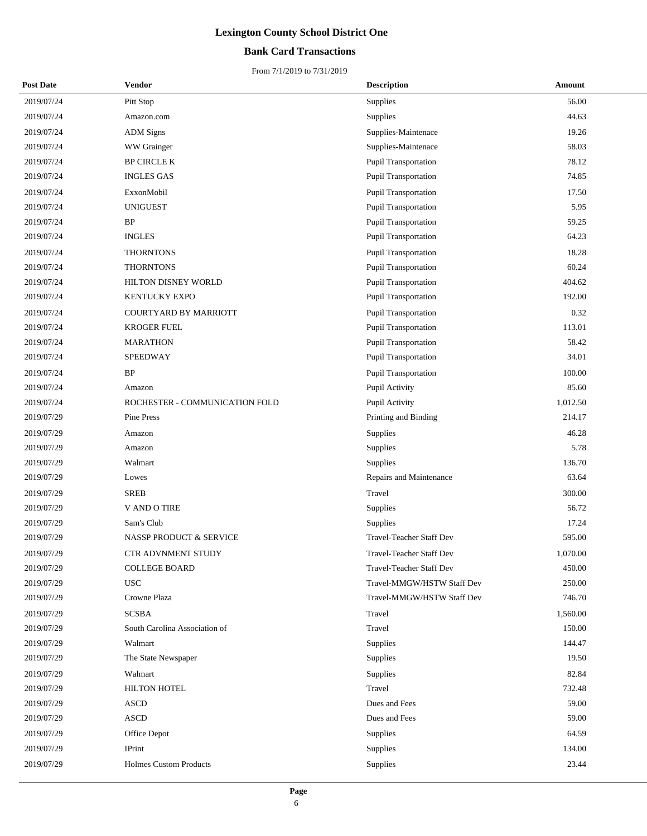## **Bank Card Transactions**

| <b>Post Date</b> | <b>Vendor</b>                  | <b>Description</b>         | Amount   |
|------------------|--------------------------------|----------------------------|----------|
| 2019/07/24       | Pitt Stop                      | Supplies                   | 56.00    |
| 2019/07/24       | Amazon.com                     | Supplies                   | 44.63    |
| 2019/07/24       | <b>ADM</b> Signs               | Supplies-Maintenace        | 19.26    |
| 2019/07/24       | WW Grainger                    | Supplies-Maintenace        | 58.03    |
| 2019/07/24       | <b>BP CIRCLE K</b>             | Pupil Transportation       | 78.12    |
| 2019/07/24       | <b>INGLES GAS</b>              | Pupil Transportation       | 74.85    |
| 2019/07/24       | ExxonMobil                     | Pupil Transportation       | 17.50    |
| 2019/07/24       | <b>UNIGUEST</b>                | Pupil Transportation       | 5.95     |
| 2019/07/24       | BP                             | Pupil Transportation       | 59.25    |
| 2019/07/24       | <b>INGLES</b>                  | Pupil Transportation       | 64.23    |
| 2019/07/24       | <b>THORNTONS</b>               | Pupil Transportation       | 18.28    |
| 2019/07/24       | <b>THORNTONS</b>               | Pupil Transportation       | 60.24    |
| 2019/07/24       | HILTON DISNEY WORLD            | Pupil Transportation       | 404.62   |
| 2019/07/24       | <b>KENTUCKY EXPO</b>           | Pupil Transportation       | 192.00   |
| 2019/07/24       | <b>COURTYARD BY MARRIOTT</b>   | Pupil Transportation       | 0.32     |
| 2019/07/24       | <b>KROGER FUEL</b>             | Pupil Transportation       | 113.01   |
| 2019/07/24       | <b>MARATHON</b>                | Pupil Transportation       | 58.42    |
| 2019/07/24       | <b>SPEEDWAY</b>                | Pupil Transportation       | 34.01    |
| 2019/07/24       | <b>BP</b>                      | Pupil Transportation       | 100.00   |
| 2019/07/24       | Amazon                         | Pupil Activity             | 85.60    |
| 2019/07/24       | ROCHESTER - COMMUNICATION FOLD | Pupil Activity             | 1,012.50 |
| 2019/07/29       | Pine Press                     | Printing and Binding       | 214.17   |
| 2019/07/29       | Amazon                         | Supplies                   | 46.28    |
| 2019/07/29       | Amazon                         | Supplies                   | 5.78     |
| 2019/07/29       | Walmart                        | Supplies                   | 136.70   |
| 2019/07/29       | Lowes                          | Repairs and Maintenance    | 63.64    |
| 2019/07/29       | <b>SREB</b>                    | Travel                     | 300.00   |
| 2019/07/29       | <b>V AND O TIRE</b>            | Supplies                   | 56.72    |
| 2019/07/29       | Sam's Club                     | Supplies                   | 17.24    |
| 2019/07/29       | NASSP PRODUCT & SERVICE        | Travel-Teacher Staff Dev   | 595.00   |
| 2019/07/29       | <b>CTR ADVNMENT STUDY</b>      | Travel-Teacher Staff Dev   | 1,070.00 |
| 2019/07/29       | <b>COLLEGE BOARD</b>           | Travel-Teacher Staff Dev   | 450.00   |
| 2019/07/29       | <b>USC</b>                     | Travel-MMGW/HSTW Staff Dev | 250.00   |
| 2019/07/29       | Crowne Plaza                   | Travel-MMGW/HSTW Staff Dev | 746.70   |
| 2019/07/29       | <b>SCSBA</b>                   | Travel                     | 1,560.00 |
| 2019/07/29       | South Carolina Association of  | Travel                     | 150.00   |
| 2019/07/29       | Walmart                        | Supplies                   | 144.47   |
| 2019/07/29       | The State Newspaper            | Supplies                   | 19.50    |
| 2019/07/29       | Walmart                        | Supplies                   | 82.84    |
| 2019/07/29       | <b>HILTON HOTEL</b>            | Travel                     | 732.48   |
| 2019/07/29       | <b>ASCD</b>                    | Dues and Fees              | 59.00    |
| 2019/07/29       | <b>ASCD</b>                    | Dues and Fees              | 59.00    |
| 2019/07/29       | Office Depot                   | Supplies                   | 64.59    |
| 2019/07/29       | IPrint                         | Supplies                   | 134.00   |
| 2019/07/29       | <b>Holmes Custom Products</b>  | Supplies                   | 23.44    |
|                  |                                |                            |          |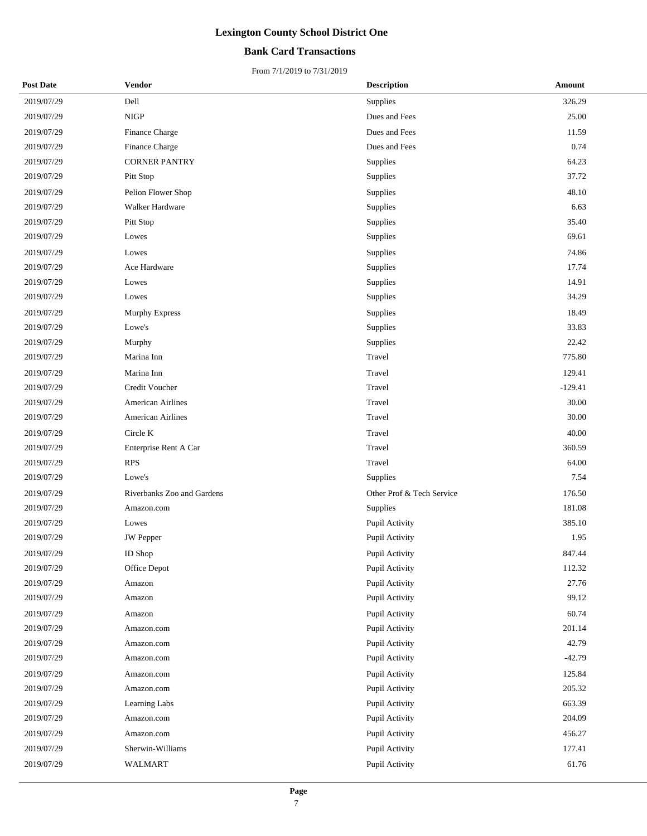## **Bank Card Transactions**

| <b>Post Date</b> | Vendor                     | <b>Description</b>        | Amount    |
|------------------|----------------------------|---------------------------|-----------|
| 2019/07/29       | Dell                       | Supplies                  | 326.29    |
| 2019/07/29       | NIGP                       | Dues and Fees             | 25.00     |
| 2019/07/29       | Finance Charge             | Dues and Fees             | 11.59     |
| 2019/07/29       | Finance Charge             | Dues and Fees             | 0.74      |
| 2019/07/29       | <b>CORNER PANTRY</b>       | Supplies                  | 64.23     |
| 2019/07/29       | Pitt Stop                  | Supplies                  | 37.72     |
| 2019/07/29       | Pelion Flower Shop         | Supplies                  | 48.10     |
| 2019/07/29       | Walker Hardware            | Supplies                  | 6.63      |
| 2019/07/29       | Pitt Stop                  | Supplies                  | 35.40     |
| 2019/07/29       | Lowes                      | Supplies                  | 69.61     |
| 2019/07/29       | Lowes                      | Supplies                  | 74.86     |
| 2019/07/29       | Ace Hardware               | Supplies                  | 17.74     |
| 2019/07/29       | Lowes                      | Supplies                  | 14.91     |
| 2019/07/29       | Lowes                      | Supplies                  | 34.29     |
| 2019/07/29       | <b>Murphy Express</b>      | Supplies                  | 18.49     |
| 2019/07/29       | Lowe's                     | Supplies                  | 33.83     |
| 2019/07/29       | Murphy                     | Supplies                  | 22.42     |
| 2019/07/29       | Marina Inn                 | Travel                    | 775.80    |
| 2019/07/29       | Marina Inn                 | Travel                    | 129.41    |
| 2019/07/29       | Credit Voucher             | Travel                    | $-129.41$ |
| 2019/07/29       | <b>American Airlines</b>   | Travel                    | 30.00     |
| 2019/07/29       | <b>American Airlines</b>   | Travel                    | 30.00     |
| 2019/07/29       | Circle K                   | Travel                    | 40.00     |
| 2019/07/29       | Enterprise Rent A Car      | Travel                    | 360.59    |
| 2019/07/29       | <b>RPS</b>                 | Travel                    | 64.00     |
| 2019/07/29       | Lowe's                     | Supplies                  | 7.54      |
| 2019/07/29       | Riverbanks Zoo and Gardens | Other Prof & Tech Service | 176.50    |
| 2019/07/29       | Amazon.com                 | Supplies                  | 181.08    |
| 2019/07/29       | Lowes                      | Pupil Activity            | 385.10    |
| 2019/07/29       | <b>JW</b> Pepper           | Pupil Activity            | 1.95      |
| 2019/07/29       | $\mathop{\rm ID}$ Shop     | Pupil Activity            | 847.44    |
| 2019/07/29       | Office Depot               | Pupil Activity            | 112.32    |
| 2019/07/29       | Amazon                     | Pupil Activity            | 27.76     |
| 2019/07/29       | Amazon                     | Pupil Activity            | 99.12     |
| 2019/07/29       | Amazon                     | Pupil Activity            | 60.74     |
| 2019/07/29       | Amazon.com                 | Pupil Activity            | 201.14    |
| 2019/07/29       | Amazon.com                 | Pupil Activity            | 42.79     |
| 2019/07/29       | Amazon.com                 | Pupil Activity            | $-42.79$  |
| 2019/07/29       | Amazon.com                 | Pupil Activity            | 125.84    |
| 2019/07/29       | Amazon.com                 | Pupil Activity            | 205.32    |
| 2019/07/29       | Learning Labs              | Pupil Activity            | 663.39    |
| 2019/07/29       | Amazon.com                 | Pupil Activity            | 204.09    |
| 2019/07/29       | Amazon.com                 | Pupil Activity            | 456.27    |
| 2019/07/29       | Sherwin-Williams           | Pupil Activity            | 177.41    |
| 2019/07/29       | WALMART                    | Pupil Activity            | 61.76     |
|                  |                            |                           |           |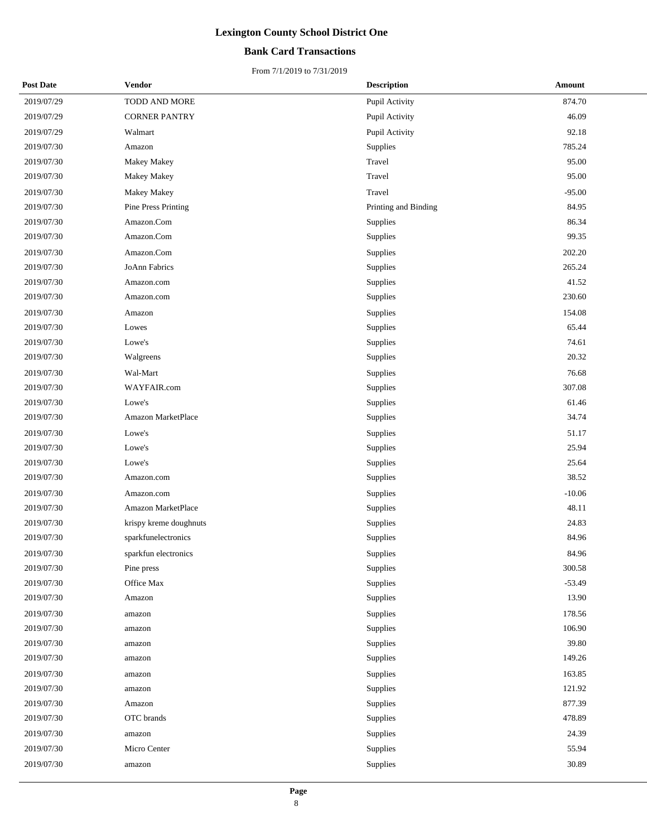## **Bank Card Transactions**

| <b>Post Date</b> | Vendor                     | <b>Description</b>   | Amount   |
|------------------|----------------------------|----------------------|----------|
| 2019/07/29       | TODD AND MORE              | Pupil Activity       | 874.70   |
| 2019/07/29       | <b>CORNER PANTRY</b>       | Pupil Activity       | 46.09    |
| 2019/07/29       | Walmart                    | Pupil Activity       | 92.18    |
| 2019/07/30       | Amazon                     | Supplies             | 785.24   |
| 2019/07/30       | Makey Makey                | Travel               | 95.00    |
| 2019/07/30       | Makey Makey                | Travel               | 95.00    |
| 2019/07/30       | <b>Makey Makey</b>         | Travel               | $-95.00$ |
| 2019/07/30       | <b>Pine Press Printing</b> | Printing and Binding | 84.95    |
| 2019/07/30       | Amazon.Com                 | Supplies             | 86.34    |
| 2019/07/30       | Amazon.Com                 | Supplies             | 99.35    |
| 2019/07/30       | Amazon.Com                 | Supplies             | 202.20   |
| 2019/07/30       | JoAnn Fabrics              | Supplies             | 265.24   |
| 2019/07/30       | Amazon.com                 | Supplies             | 41.52    |
| 2019/07/30       | Amazon.com                 | Supplies             | 230.60   |
| 2019/07/30       | Amazon                     | Supplies             | 154.08   |
| 2019/07/30       | Lowes                      | Supplies             | 65.44    |
| 2019/07/30       | Lowe's                     | Supplies             | 74.61    |
| 2019/07/30       | Walgreens                  | Supplies             | 20.32    |
| 2019/07/30       | Wal-Mart                   | Supplies             | 76.68    |
| 2019/07/30       | WAYFAIR.com                | Supplies             | 307.08   |
| 2019/07/30       | Lowe's                     | Supplies             | 61.46    |
| 2019/07/30       | Amazon MarketPlace         | Supplies             | 34.74    |
| 2019/07/30       | Lowe's                     | Supplies             | 51.17    |
| 2019/07/30       | Lowe's                     | Supplies             | 25.94    |
| 2019/07/30       | Lowe's                     | Supplies             | 25.64    |
| 2019/07/30       | Amazon.com                 | Supplies             | 38.52    |
| 2019/07/30       | Amazon.com                 | Supplies             | $-10.06$ |
| 2019/07/30       | Amazon MarketPlace         | Supplies             | 48.11    |
| 2019/07/30       | krispy kreme doughnuts     | Supplies             | 24.83    |
| 2019/07/30       | sparkfunelectronics        | Supplies             | 84.96    |
| 2019/07/30       | sparkfun electronics       | Supplies             | 84.96    |
| 2019/07/30       | Pine press                 | Supplies             | 300.58   |
| 2019/07/30       | Office Max                 | Supplies             | $-53.49$ |
| 2019/07/30       | Amazon                     | Supplies             | 13.90    |
| 2019/07/30       | amazon                     | Supplies             | 178.56   |
| 2019/07/30       | amazon                     | Supplies             | 106.90   |
| 2019/07/30       | amazon                     | Supplies             | 39.80    |
| 2019/07/30       | amazon                     | Supplies             | 149.26   |
| 2019/07/30       | amazon                     | Supplies             | 163.85   |
| 2019/07/30       | amazon                     | Supplies             | 121.92   |
| 2019/07/30       | Amazon                     | Supplies             | 877.39   |
| 2019/07/30       | OTC brands                 | Supplies             | 478.89   |
| 2019/07/30       | amazon                     | Supplies             | 24.39    |
| 2019/07/30       | Micro Center               | Supplies             | 55.94    |
| 2019/07/30       | amazon                     | Supplies             | 30.89    |
|                  |                            |                      |          |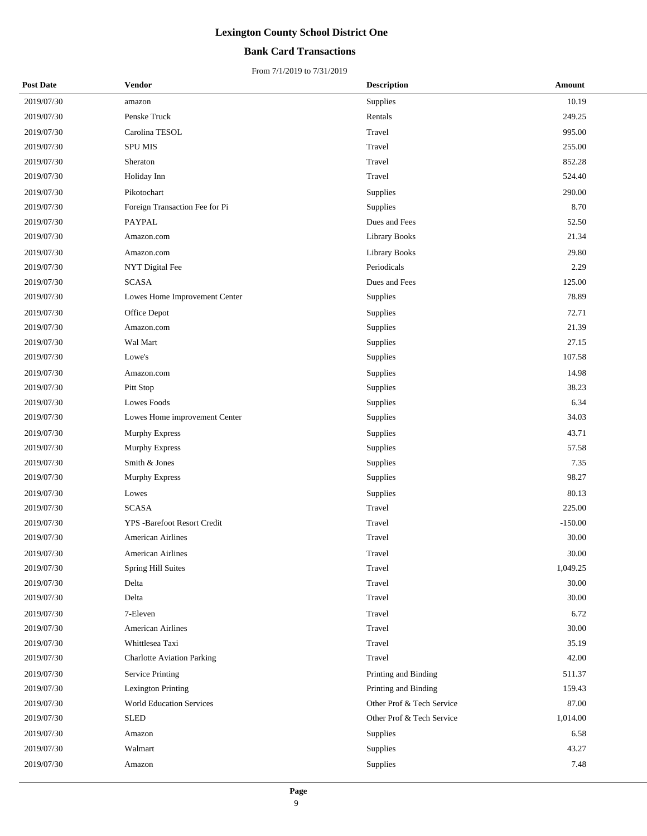## **Bank Card Transactions**

| <b>Post Date</b> | Vendor                            | <b>Description</b>        | Amount    |
|------------------|-----------------------------------|---------------------------|-----------|
| 2019/07/30       | amazon                            | Supplies                  | 10.19     |
| 2019/07/30       | Penske Truck                      | Rentals                   | 249.25    |
| 2019/07/30       | Carolina TESOL                    | Travel                    | 995.00    |
| 2019/07/30       | <b>SPU MIS</b>                    | Travel                    | 255.00    |
| 2019/07/30       | Sheraton                          | Travel                    | 852.28    |
| 2019/07/30       | Holiday Inn                       | Travel                    | 524.40    |
| 2019/07/30       | Pikotochart                       | Supplies                  | 290.00    |
| 2019/07/30       | Foreign Transaction Fee for Pi    | Supplies                  | 8.70      |
| 2019/07/30       | PAYPAL                            | Dues and Fees             | 52.50     |
| 2019/07/30       | Amazon.com                        | <b>Library Books</b>      | 21.34     |
| 2019/07/30       | Amazon.com                        | <b>Library Books</b>      | 29.80     |
| 2019/07/30       | NYT Digital Fee                   | Periodicals               | 2.29      |
| 2019/07/30       | <b>SCASA</b>                      | Dues and Fees             | 125.00    |
| 2019/07/30       | Lowes Home Improvement Center     | Supplies                  | 78.89     |
| 2019/07/30       | Office Depot                      | Supplies                  | 72.71     |
| 2019/07/30       | Amazon.com                        | Supplies                  | 21.39     |
| 2019/07/30       | Wal Mart                          | Supplies                  | 27.15     |
| 2019/07/30       | Lowe's                            | Supplies                  | 107.58    |
| 2019/07/30       | Amazon.com                        | Supplies                  | 14.98     |
| 2019/07/30       | Pitt Stop                         | Supplies                  | 38.23     |
| 2019/07/30       | Lowes Foods                       | Supplies                  | 6.34      |
| 2019/07/30       | Lowes Home improvement Center     | Supplies                  | 34.03     |
| 2019/07/30       | <b>Murphy Express</b>             | Supplies                  | 43.71     |
| 2019/07/30       | Murphy Express                    | Supplies                  | 57.58     |
| 2019/07/30       | Smith & Jones                     | Supplies                  | 7.35      |
| 2019/07/30       | Murphy Express                    | Supplies                  | 98.27     |
| 2019/07/30       | Lowes                             | Supplies                  | 80.13     |
| 2019/07/30       | <b>SCASA</b>                      | Travel                    | 225.00    |
| 2019/07/30       | YPS -Barefoot Resort Credit       | Travel                    | $-150.00$ |
| 2019/07/30       | <b>American Airlines</b>          | Travel                    | 30.00     |
| 2019/07/30       | American Airlines                 | Travel                    | 30.00     |
| 2019/07/30       | Spring Hill Suites                | Travel                    | 1,049.25  |
| 2019/07/30       | Delta                             | Travel                    | 30.00     |
| 2019/07/30       | Delta                             | Travel                    | 30.00     |
| 2019/07/30       | 7-Eleven                          | Travel                    | 6.72      |
| 2019/07/30       | <b>American Airlines</b>          | Travel                    | 30.00     |
| 2019/07/30       | Whittlesea Taxi                   | Travel                    | 35.19     |
| 2019/07/30       | <b>Charlotte Aviation Parking</b> | Travel                    | 42.00     |
| 2019/07/30       | <b>Service Printing</b>           | Printing and Binding      | 511.37    |
| 2019/07/30       | Lexington Printing                | Printing and Binding      | 159.43    |
| 2019/07/30       | <b>World Education Services</b>   | Other Prof & Tech Service | 87.00     |
| 2019/07/30       | <b>SLED</b>                       | Other Prof & Tech Service | 1,014.00  |
| 2019/07/30       | Amazon                            | Supplies                  | 6.58      |
| 2019/07/30       | Walmart                           | Supplies                  | 43.27     |
| 2019/07/30       | Amazon                            | Supplies                  | 7.48      |
|                  |                                   |                           |           |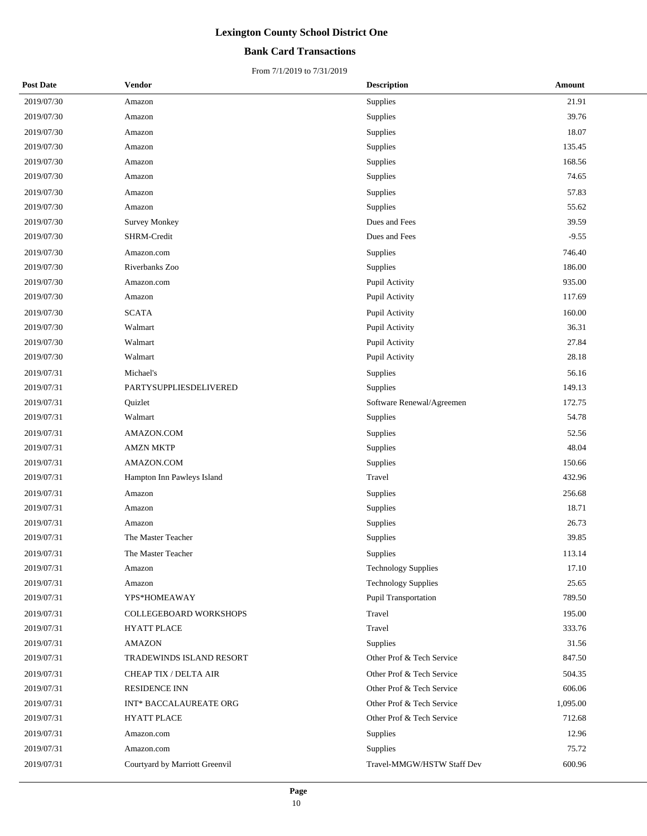## **Bank Card Transactions**

| <b>Post Date</b> | Vendor                         | <b>Description</b>         | Amount   |
|------------------|--------------------------------|----------------------------|----------|
| 2019/07/30       | Amazon                         | Supplies                   | 21.91    |
| 2019/07/30       | Amazon                         | Supplies                   | 39.76    |
| 2019/07/30       | Amazon                         | Supplies                   | 18.07    |
| 2019/07/30       | Amazon                         | Supplies                   | 135.45   |
| 2019/07/30       | Amazon                         | Supplies                   | 168.56   |
| 2019/07/30       | Amazon                         | Supplies                   | 74.65    |
| 2019/07/30       | Amazon                         | Supplies                   | 57.83    |
| 2019/07/30       | Amazon                         | Supplies                   | 55.62    |
| 2019/07/30       | <b>Survey Monkey</b>           | Dues and Fees              | 39.59    |
| 2019/07/30       | SHRM-Credit                    | Dues and Fees              | $-9.55$  |
| 2019/07/30       | Amazon.com                     | Supplies                   | 746.40   |
| 2019/07/30       | Riverbanks Zoo                 | Supplies                   | 186.00   |
| 2019/07/30       | Amazon.com                     | Pupil Activity             | 935.00   |
| 2019/07/30       | Amazon                         | Pupil Activity             | 117.69   |
| 2019/07/30       | <b>SCATA</b>                   | Pupil Activity             | 160.00   |
| 2019/07/30       | Walmart                        | Pupil Activity             | 36.31    |
| 2019/07/30       | Walmart                        | Pupil Activity             | 27.84    |
| 2019/07/30       | Walmart                        | Pupil Activity             | 28.18    |
| 2019/07/31       | Michael's                      | Supplies                   | 56.16    |
| 2019/07/31       | PARTYSUPPLIESDELIVERED         | Supplies                   | 149.13   |
| 2019/07/31       | Quizlet                        | Software Renewal/Agreemen  | 172.75   |
| 2019/07/31       | Walmart                        | Supplies                   | 54.78    |
| 2019/07/31       | AMAZON.COM                     | Supplies                   | 52.56    |
| 2019/07/31       | AMZN MKTP                      | Supplies                   | 48.04    |
| 2019/07/31       | AMAZON.COM                     | Supplies                   | 150.66   |
| 2019/07/31       | Hampton Inn Pawleys Island     | Travel                     | 432.96   |
| 2019/07/31       | Amazon                         | Supplies                   | 256.68   |
| 2019/07/31       | Amazon                         | Supplies                   | 18.71    |
| 2019/07/31       | Amazon                         | Supplies                   | 26.73    |
| 2019/07/31       | The Master Teacher             | Supplies                   | 39.85    |
| 2019/07/31       | The Master Teacher             | Supplies                   | 113.14   |
| 2019/07/31       | Amazon                         | <b>Technology Supplies</b> | 17.10    |
| 2019/07/31       | Amazon                         | <b>Technology Supplies</b> | 25.65    |
| 2019/07/31       | YPS*HOMEAWAY                   | Pupil Transportation       | 789.50   |
| 2019/07/31       | <b>COLLEGEBOARD WORKSHOPS</b>  | Travel                     | 195.00   |
| 2019/07/31       | <b>HYATT PLACE</b>             | Travel                     | 333.76   |
| 2019/07/31       | <b>AMAZON</b>                  | Supplies                   | 31.56    |
| 2019/07/31       | TRADEWINDS ISLAND RESORT       | Other Prof & Tech Service  | 847.50   |
| 2019/07/31       | CHEAP TIX / DELTA AIR          | Other Prof & Tech Service  | 504.35   |
| 2019/07/31       | <b>RESIDENCE INN</b>           | Other Prof & Tech Service  | 606.06   |
| 2019/07/31       | INT* BACCALAUREATE ORG         | Other Prof & Tech Service  | 1,095.00 |
| 2019/07/31       | HYATT PLACE                    | Other Prof & Tech Service  | 712.68   |
| 2019/07/31       | Amazon.com                     | Supplies                   | 12.96    |
| 2019/07/31       | Amazon.com                     | Supplies                   | 75.72    |
| 2019/07/31       | Courtyard by Marriott Greenvil | Travel-MMGW/HSTW Staff Dev | 600.96   |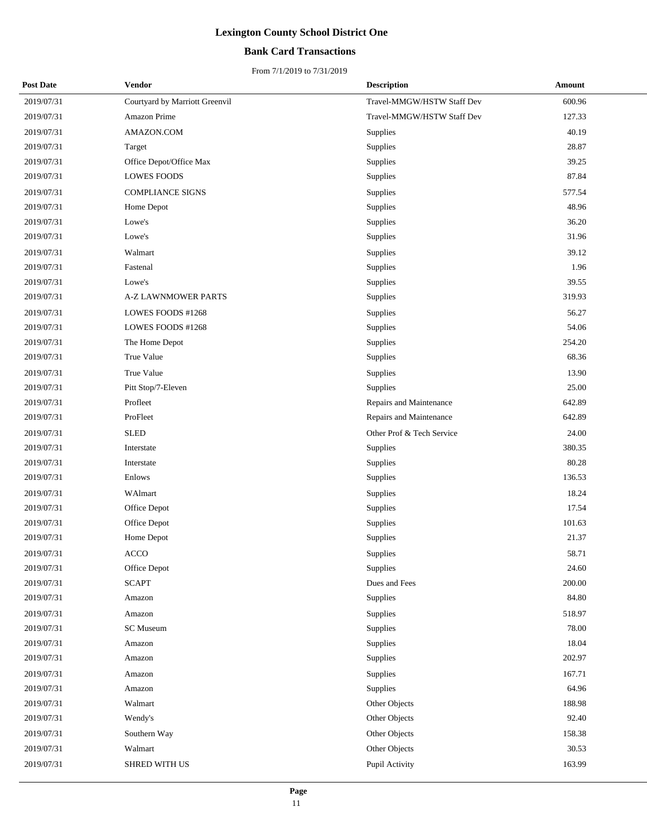## **Bank Card Transactions**

| <b>Post Date</b> | Vendor                         | <b>Description</b>         | Amount     |
|------------------|--------------------------------|----------------------------|------------|
| 2019/07/31       | Courtyard by Marriott Greenvil | Travel-MMGW/HSTW Staff Dev | 600.96     |
| 2019/07/31       | Amazon Prime                   | Travel-MMGW/HSTW Staff Dev | 127.33     |
| 2019/07/31       | AMAZON.COM                     | Supplies                   | 40.19      |
| 2019/07/31       | Target                         | Supplies                   | 28.87      |
| 2019/07/31       | Office Depot/Office Max        | Supplies                   | 39.25      |
| 2019/07/31       | <b>LOWES FOODS</b>             | Supplies                   | 87.84      |
| 2019/07/31       | <b>COMPLIANCE SIGNS</b>        | Supplies                   | 577.54     |
| 2019/07/31       | Home Depot                     | Supplies                   | 48.96      |
| 2019/07/31       | Lowe's                         | Supplies                   | 36.20      |
| 2019/07/31       | Lowe's                         | Supplies                   | 31.96      |
| 2019/07/31       | Walmart                        | Supplies                   | 39.12      |
| 2019/07/31       | Fastenal                       | Supplies                   | 1.96       |
| 2019/07/31       | Lowe's                         | Supplies                   | 39.55      |
| 2019/07/31       | A-Z LAWNMOWER PARTS            | Supplies                   | 319.93     |
| 2019/07/31       | LOWES FOODS #1268              | Supplies                   | 56.27      |
| 2019/07/31       | LOWES FOODS #1268              | Supplies                   | 54.06      |
| 2019/07/31       | The Home Depot                 | Supplies                   | 254.20     |
| 2019/07/31       | True Value                     | Supplies                   | 68.36      |
| 2019/07/31       | True Value                     | Supplies                   | 13.90      |
| 2019/07/31       | Pitt Stop/7-Eleven             | Supplies                   | 25.00      |
| 2019/07/31       | Profleet                       | Repairs and Maintenance    | 642.89     |
| 2019/07/31       | ProFleet                       | Repairs and Maintenance    | 642.89     |
| 2019/07/31       | <b>SLED</b>                    | Other Prof & Tech Service  | 24.00      |
| 2019/07/31       | Interstate                     | Supplies                   | 380.35     |
| 2019/07/31       | Interstate                     | Supplies                   | 80.28      |
| 2019/07/31       | Enlows                         | Supplies                   | 136.53     |
| 2019/07/31       | WAlmart                        | Supplies                   | 18.24      |
| 2019/07/31       | Office Depot                   | Supplies                   | 17.54      |
| 2019/07/31       | Office Depot                   | Supplies                   | 101.63     |
| 2019/07/31       | Home Depot                     | Supplies                   | 21.37      |
| 2019/07/31       | ACCO                           | Supplies                   | 58.71      |
| 2019/07/31       | Office Depot                   | Supplies                   | 24.60      |
| 2019/07/31       | <b>SCAPT</b>                   | Dues and Fees              | $200.00\,$ |
| 2019/07/31       | Amazon                         | Supplies                   | 84.80      |
| 2019/07/31       | Amazon                         | Supplies                   | 518.97     |
| 2019/07/31       | <b>SC</b> Museum               | Supplies                   | 78.00      |
| 2019/07/31       | Amazon                         | Supplies                   | 18.04      |
| 2019/07/31       | Amazon                         | Supplies                   | 202.97     |
| 2019/07/31       | Amazon                         | Supplies                   | 167.71     |
| 2019/07/31       | Amazon                         | Supplies                   | 64.96      |
| 2019/07/31       | Walmart                        | Other Objects              | 188.98     |
| 2019/07/31       | Wendy's                        | Other Objects              | 92.40      |
| 2019/07/31       | Southern Way                   | Other Objects              | 158.38     |
| 2019/07/31       | Walmart                        | Other Objects              | 30.53      |
| 2019/07/31       | SHRED WITH US                  | Pupil Activity             | 163.99     |
|                  |                                |                            |            |